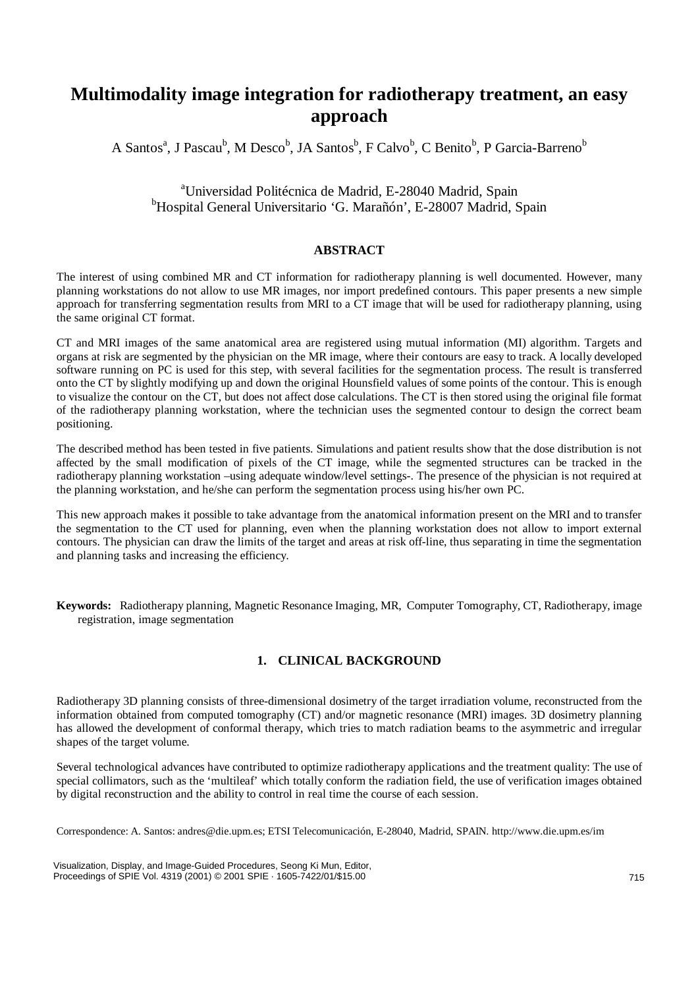# **Multimodality image integration for radiotherapy treatment, an easy approach**

A Santos<sup>a</sup>, J Pascau<sup>b</sup>, M Desco<sup>b</sup>, JA Santos<sup>b</sup>, F Calvo<sup>b</sup>, C Benito<sup>b</sup>, P Garcia-Barreno<sup>b</sup>

## <sup>a</sup>Universidad Politécnica de Madrid, E-28040 Madrid, Spain b Hospital General Universitario 'G. Marañón', E-28007 Madrid, Spain

#### **ABSTRACT**

The interest of using combined MR and CT information for radiotherapy planning is well documented. However, many planning workstations do not allow to use MR images, nor import predefined contours. This paper presents a new simple approach for transferring segmentation results from MRI to a CT image that will be used for radiotherapy planning, using the same original CT format.

CT and MRI images of the same anatomical area are registered using mutual information (MI) algorithm. Targets and organs at risk are segmented by the physician on the MR image, where their contours are easy to track. A locally developed software running on PC is used for this step, with several facilities for the segmentation process. The result is transferred onto the CT by slightly modifying up and down the original Hounsfield values of some points of the contour. This is enough to visualize the contour on the CT, but does not affect dose calculations. The CT is then stored using the original file format of the radiotherapy planning workstation, where the technician uses the segmented contour to design the correct beam positioning.

The described method has been tested in five patients. Simulations and patient results show that the dose distribution is not affected by the small modification of pixels of the CT image, while the segmented structures can be tracked in the radiotherapy planning workstation –using adequate window/level settings-. The presence of the physician is not required at the planning workstation, and he/she can perform the segmentation process using his/her own PC.

This new approach makes it possible to take advantage from the anatomical information present on the MRI and to transfer the segmentation to the CT used for planning, even when the planning workstation does not allow to import external contours. The physician can draw the limits of the target and areas at risk off-line, thus separating in time the segmentation and planning tasks and increasing the efficiency.

**Keywords:** Radiotherapy planning, Magnetic Resonance Imaging, MR, Computer Tomography, CT, Radiotherapy, image registration, image segmentation

## **1. CLINICAL BACKGROUND**

Radiotherapy 3D planning consists of three-dimensional dosimetry of the target irradiation volume, reconstructed from the information obtained from computed tomography (CT) and/or magnetic resonance (MRI) images. 3D dosimetry planning has allowed the development of conformal therapy, which tries to match radiation beams to the asymmetric and irregular shapes of the target volume.

Several technological advances have contributed to optimize radiotherapy applications and the treatment quality: The use of special collimators, such as the 'multileaf' which totally conform the radiation field, the use of verification images obtained by digital reconstruction and the ability to control in real time the course of each session.

Correspondence: A. Santos: andres@die.upm.es; ETSI Telecomunicación, E-28040, Madrid, SPAIN. http://www.die.upm.es/im

Visualization, Display, and Image-Guided Procedures, Seong Ki Mun, Editor, Proceedings of SPIE Vol. 4319 (2001) © 2001 SPIE · 1605-7422/01/\$15.00 715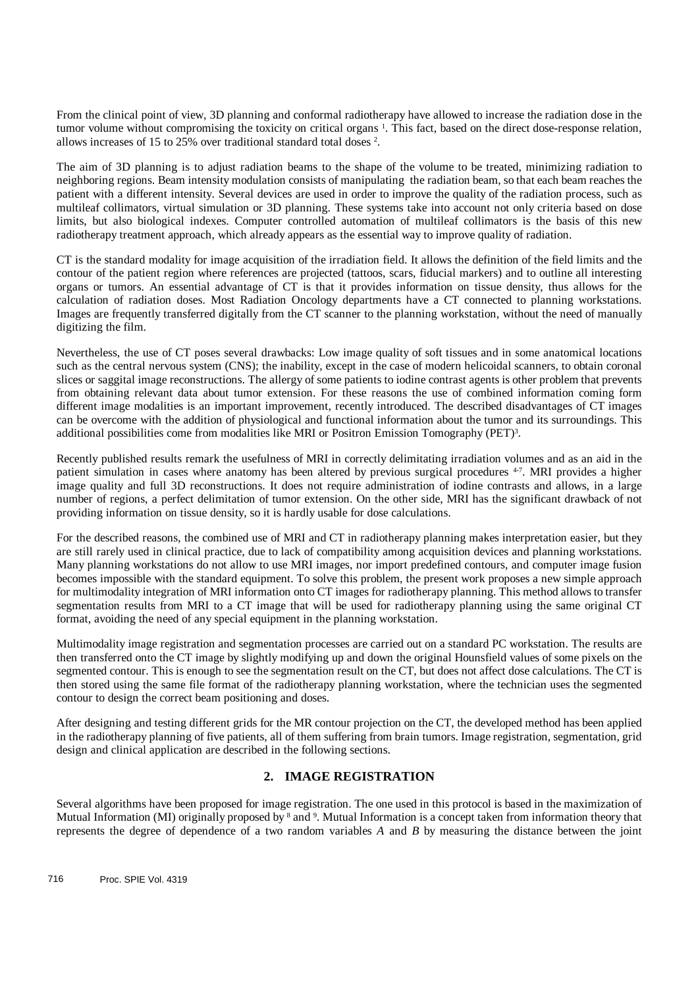From the clinical point of view, 3D planning and conformal radiotherapy have allowed to increase the radiation dose in the tumor volume without compromising the toxicity on critical organs<sup>1</sup>. This fact, based on the direct dose-response relation, allows increases of 15 to 25% over traditional standard total doses <sup>2</sup>.

The aim of 3D planning is to adjust radiation beams to the shape of the volume to be treated, minimizing radiation to neighboring regions. Beam intensity modulation consists of manipulating the radiation beam, so that each beam reaches the patient with a different intensity. Several devices are used in order to improve the quality of the radiation process, such as multileaf collimators, virtual simulation or 3D planning. These systems take into account not only criteria based on dose limits, but also biological indexes. Computer controlled automation of multileaf collimators is the basis of this new radiotherapy treatment approach, which already appears as the essential way to improve quality of radiation.

CT is the standard modality for image acquisition of the irradiation field. It allows the definition of the field limits and the contour of the patient region where references are projected (tattoos, scars, fiducial markers) and to outline all interesting organs or tumors. An essential advantage of CT is that it provides information on tissue density, thus allows for the calculation of radiation doses. Most Radiation Oncology departments have a CT connected to planning workstations. Images are frequently transferred digitally from the CT scanner to the planning workstation, without the need of manually digitizing the film.

Nevertheless, the use of CT poses several drawbacks: Low image quality of soft tissues and in some anatomical locations such as the central nervous system (CNS); the inability, except in the case of modern helicoidal scanners, to obtain coronal slices or saggital image reconstructions. The allergy of some patients to iodine contrast agents is other problem that prevents from obtaining relevant data about tumor extension. For these reasons the use of combined information coming form different image modalities is an important improvement, recently introduced. The described disadvantages of CT images can be overcome with the addition of physiological and functional information about the tumor and its surroundings. This additional possibilities come from modalities like MRI or Positron Emission Tomography (PET)<sup>3</sup>.

Recently published results remark the usefulness of MRI in correctly delimitating irradiation volumes and as an aid in the patient simulation in cases where anatomy has been altered by previous surgical procedures <sup>4-7</sup>. MRI provides a higher image quality and full 3D reconstructions. It does not require administration of iodine contrasts and allows, in a large number of regions, a perfect delimitation of tumor extension. On the other side, MRI has the significant drawback of not providing information on tissue density, so it is hardly usable for dose calculations.

For the described reasons, the combined use of MRI and CT in radiotherapy planning makes interpretation easier, but they are still rarely used in clinical practice, due to lack of compatibility among acquisition devices and planning workstations. Many planning workstations do not allow to use MRI images, nor import predefined contours, and computer image fusion becomes impossible with the standard equipment. To solve this problem, the present work proposes a new simple approach for multimodality integration of MRI information onto CT images for radiotherapy planning. This method allows to transfer segmentation results from MRI to a CT image that will be used for radiotherapy planning using the same original CT format, avoiding the need of any special equipment in the planning workstation.

Multimodality image registration and segmentation processes are carried out on a standard PC workstation. The results are then transferred onto the CT image by slightly modifying up and down the original Hounsfield values of some pixels on the segmented contour. This is enough to see the segmentation result on the CT, but does not affect dose calculations. The CT is then stored using the same file format of the radiotherapy planning workstation, where the technician uses the segmented contour to design the correct beam positioning and doses.

After designing and testing different grids for the MR contour projection on the CT, the developed method has been applied in the radiotherapy planning of five patients, all of them suffering from brain tumors. Image registration, segmentation, grid design and clinical application are described in the following sections.

### **2. IMAGE REGISTRATION**

Several algorithms have been proposed for image registration. The one used in this protocol is based in the maximization of Mutual Information (MI) originally proposed by <sup>8</sup> and <sup>9</sup>. Mutual Information is a concept taken from information theory that represents the degree of dependence of a two random variables *A* and *B* by measuring the distance between the joint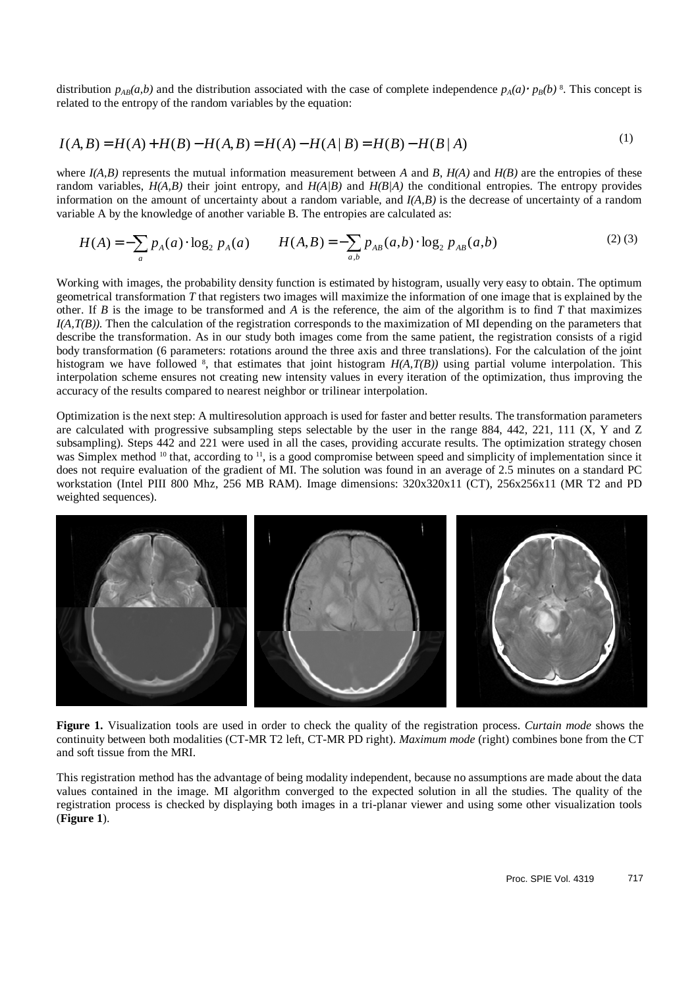distribution  $p_{AB}(a,b)$  and the distribution associated with the case of complete independence  $p_A(a) \cdot p_B(b)$ <sup>8</sup>. This concept is related to the entropy of the random variables by the equation: related to the entropy of the random variables by the equation:

$$
I(A,B) = H(A) + H(B) - H(A,B) = H(A) - H(A|B) = H(B) - H(B|A)
$$
\n(1)

where  $I(A, B)$  represents the mutual information measurement between *A* and *B*,  $H(A)$  and  $H(B)$  are the entropies of these random variables,  $H(A,B)$  their joint entropy, and  $H(A/B)$  and  $H(B/A)$  the conditional entropies. The entropy provides information on the amount of uncertainty about a random variable, and *I(A,B)* is the decrease of uncertainty of a random variable A by the knowledge of another variable B. The entropies are calculated as:

$$
H(A) = -\sum_{a} p_{A}(a) \cdot \log_2 p_{A}(a) \qquad H(A,B) = -\sum_{a,b} p_{AB}(a,b) \cdot \log_2 p_{AB}(a,b) \tag{2}
$$

Working with images, the probability density function is estimated by histogram, usually very easy to obtain. The optimum geometrical transformation *T* that registers two images will maximize the information of one image that is explained by the other. If *B* is the image to be transformed and *A* is the reference, the aim of the algorithm is to find *T* that maximizes *I(A,T(B))*. Then the calculation of the registration corresponds to the maximization of MI depending on the parameters that describe the transformation. As in our study both images come from the same patient, the registration consists of a rigid body transformation (6 parameters: rotations around the three axis and three translations). For the calculation of the joint histogram we have followed  $\frac{8}{3}$ , that estimates that joint histogram  $H(A, T(B))$  using partial volume interpolation. This interpolation scheme ensures not creating new intensity values in every iteration of the optimization, thus improving the accuracy of the results compared to nearest neighbor or trilinear interpolation.

Optimization is the next step: A multiresolution approach is used for faster and better results. The transformation parameters are calculated with progressive subsampling steps selectable by the user in the range 884, 442, 221, 111 (X, Y and Z subsampling). Steps 442 and 221 were used in all the cases, providing accurate results. The optimization strategy chosen was Simplex method <sup>10</sup> that, according to <sup>11</sup>, is a good compromise between speed and simplicity of implementation since it does not require evaluation of the gradient of MI. The solution was found in an average of 2.5 minutes on a standard PC workstation (Intel PIII 800 Mhz, 256 MB RAM). Image dimensions: 320x320x11 (CT), 256x256x11 (MR T2 and PD weighted sequences).



**Figure 1.** Visualization tools are used in order to check the quality of the registration process. *Curtain mode* shows the continuity between both modalities (CT-MR T2 left, CT-MR PD right). *Maximum mode* (right) combines bone from the CT and soft tissue from the MRI.

This registration method has the advantage of being modality independent, because no assumptions are made about the data values contained in the image. MI algorithm converged to the expected solution in all the studies. The quality of the registration process is checked by displaying both images in a tri-planar viewer and using some other visualization tools (**Figure 1**).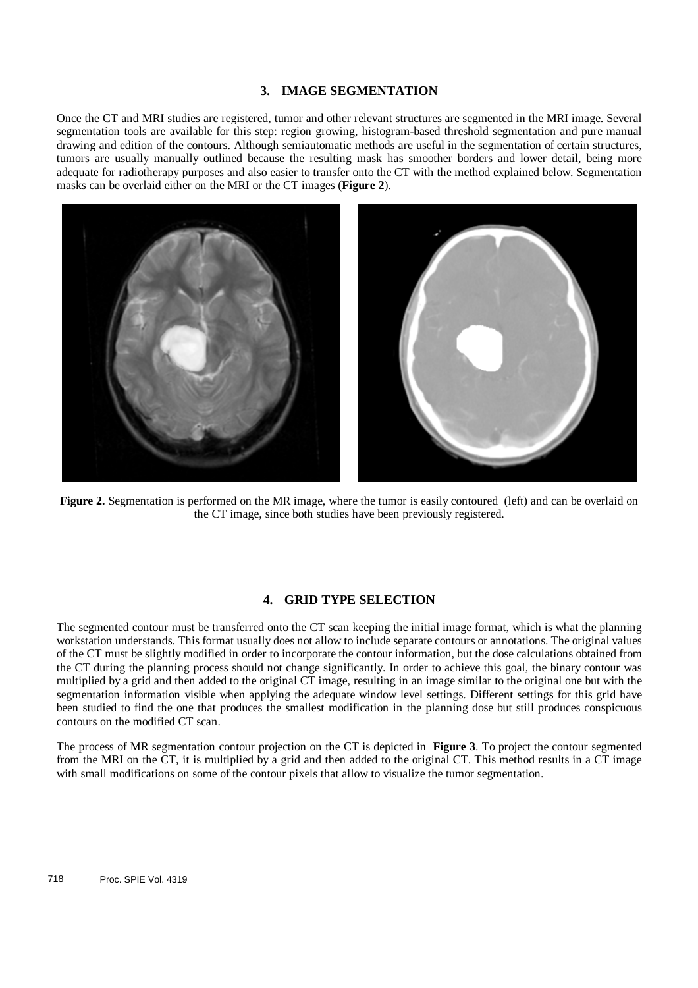## **3. IMAGE SEGMENTATION**

Once the CT and MRI studies are registered, tumor and other relevant structures are segmented in the MRI image. Several segmentation tools are available for this step: region growing, histogram-based threshold segmentation and pure manual drawing and edition of the contours. Although semiautomatic methods are useful in the segmentation of certain structures, tumors are usually manually outlined because the resulting mask has smoother borders and lower detail, being more adequate for radiotherapy purposes and also easier to transfer onto the CT with the method explained below. Segmentation masks can be overlaid either on the MRI or the CT images (**Figure 2**).



**Figure 2.** Segmentation is performed on the MR image, where the tumor is easily contoured (left) and can be overlaid on the CT image, since both studies have been previously registered.

#### **4. GRID TYPE SELECTION**

The segmented contour must be transferred onto the CT scan keeping the initial image format, which is what the planning workstation understands. This format usually does not allow to include separate contours or annotations. The original values of the CT must be slightly modified in order to incorporate the contour information, but the dose calculations obtained from the CT during the planning process should not change significantly. In order to achieve this goal, the binary contour was multiplied by a grid and then added to the original CT image, resulting in an image similar to the original one but with the segmentation information visible when applying the adequate window level settings. Different settings for this grid have been studied to find the one that produces the smallest modification in the planning dose but still produces conspicuous contours on the modified CT scan.

The process of MR segmentation contour projection on the CT is depicted in **Figure 3**. To project the contour segmented from the MRI on the CT, it is multiplied by a grid and then added to the original CT. This method results in a CT image with small modifications on some of the contour pixels that allow to visualize the tumor segmentation.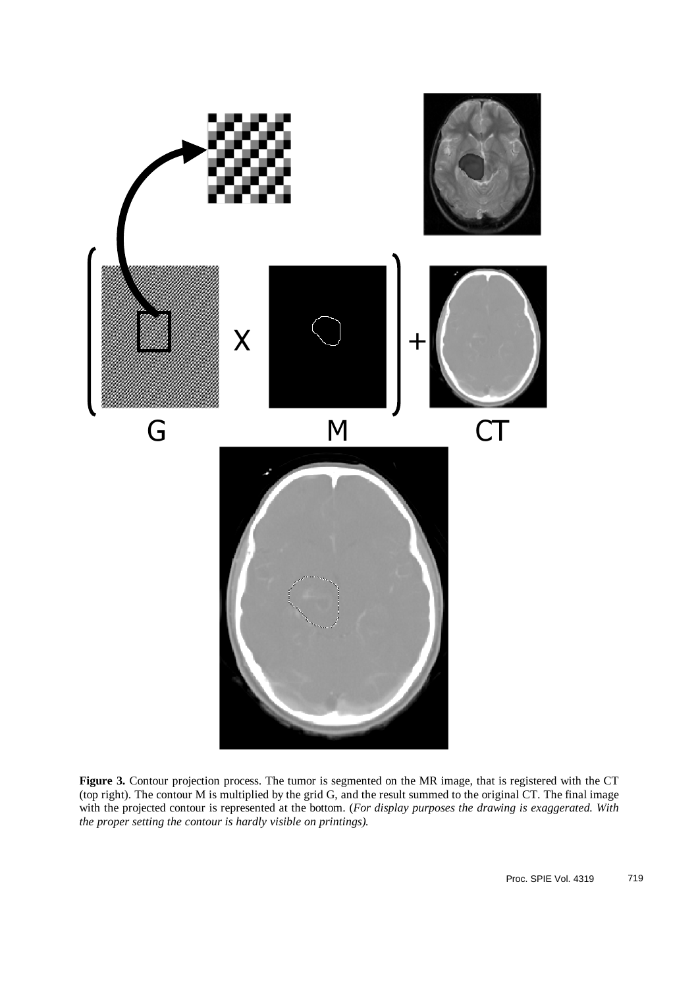

Figure 3. Contour projection process. The tumor is segmented on the MR image, that is registered with the CT (top right). The contour M is multiplied by the grid G, and the result summed to the original CT. The final image with the projected contour is represented at the bottom. (*For display purposes the drawing is exaggerated. With the proper setting the contour is hardly visible on printings).*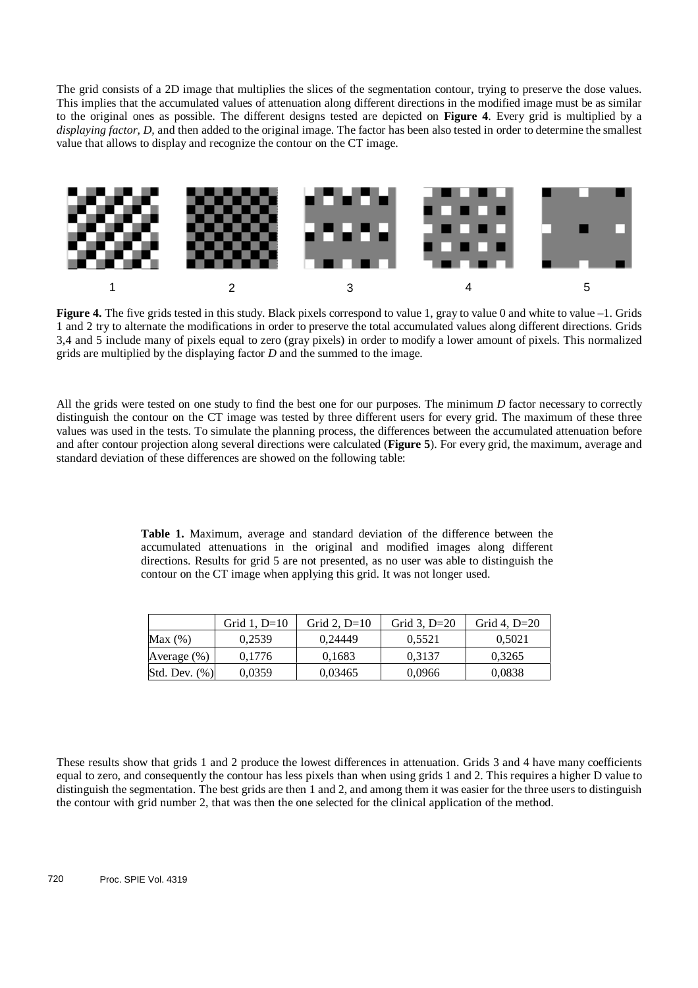The grid consists of a 2D image that multiplies the slices of the segmentation contour, trying to preserve the dose values. This implies that the accumulated values of attenuation along different directions in the modified image must be as similar to the original ones as possible. The different designs tested are depicted on **Figure 4**. Every grid is multiplied by a *displaying factor, D,* and then added to the original image. The factor has been also tested in order to determine the smallest value that allows to display and recognize the contour on the CT image.



**Figure 4.** The five grids tested in this study. Black pixels correspond to value 1, gray to value 0 and white to value –1. Grids 1 and 2 try to alternate the modifications in order to preserve the total accumulated values along different directions. Grids 3,4 and 5 include many of pixels equal to zero (gray pixels) in order to modify a lower amount of pixels. This normalized grids are multiplied by the displaying factor *D* and the summed to the image.

All the grids were tested on one study to find the best one for our purposes. The minimum *D* factor necessary to correctly distinguish the contour on the CT image was tested by three different users for every grid. The maximum of these three values was used in the tests. To simulate the planning process, the differences between the accumulated attenuation before and after contour projection along several directions were calculated (**Figure 5**). For every grid, the maximum, average and standard deviation of these differences are showed on the following table:

> **Table 1.** Maximum, average and standard deviation of the difference between the accumulated attenuations in the original and modified images along different directions. Results for grid 5 are not presented, as no user was able to distinguish the contour on the CT image when applying this grid. It was not longer used.

|                  | Grid 1. $D=10$ | Grid 2. $D=10$ | Grid 3, $D=20$ | Grid 4. $D=20$ |
|------------------|----------------|----------------|----------------|----------------|
| Max $(\%)$       | 0.2539         | 0.24449        | 0.5521         | 0.5021         |
| Average $(\% )$  | 0.1776         | 0.1683         | 0.3137         | 0.3265         |
| Std. Dev. $(\%)$ | 0.0359         | 0.03465        | 0,0966         | 0.0838         |

These results show that grids 1 and 2 produce the lowest differences in attenuation. Grids 3 and 4 have many coefficients equal to zero, and consequently the contour has less pixels than when using grids 1 and 2. This requires a higher D value to distinguish the segmentation. The best grids are then 1 and 2, and among them it was easier for the three users to distinguish the contour with grid number 2, that was then the one selected for the clinical application of the method.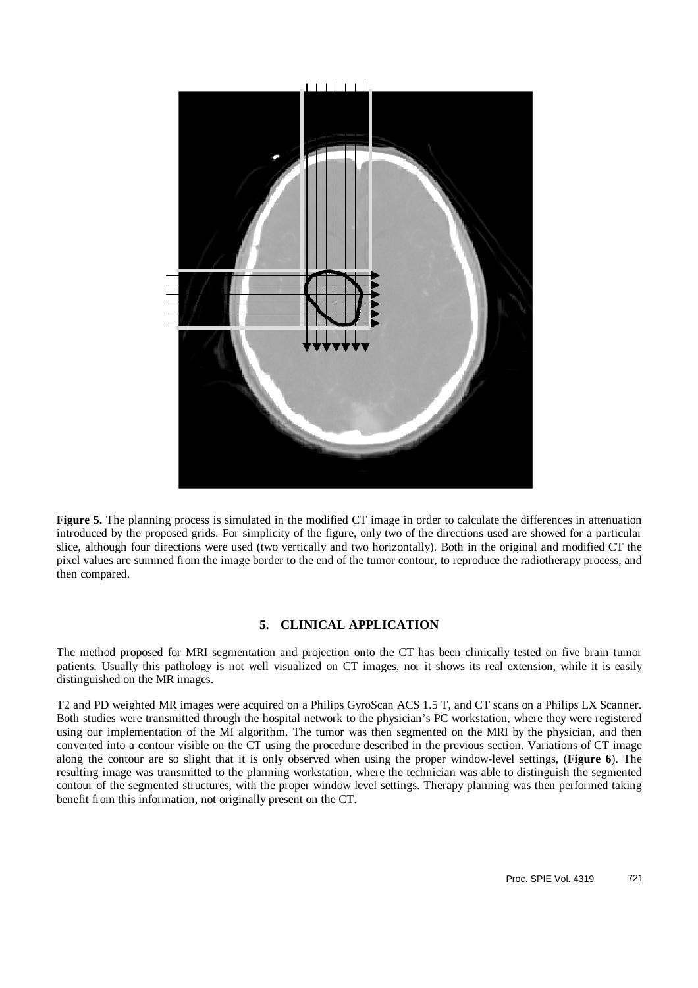

**Figure 5.** The planning process is simulated in the modified CT image in order to calculate the differences in attenuation introduced by the proposed grids. For simplicity of the figure, only two of the directions used are showed for a particular slice, although four directions were used (two vertically and two horizontally). Both in the original and modified CT the pixel values are summed from the image border to the end of the tumor contour, to reproduce the radiotherapy process, and then compared.

#### **5. CLINICAL APPLICATION**

The method proposed for MRI segmentation and projection onto the CT has been clinically tested on five brain tumor patients. Usually this pathology is not well visualized on CT images, nor it shows its real extension, while it is easily distinguished on the MR images.

T2 and PD weighted MR images were acquired on a Philips GyroScan ACS 1.5 T, and CT scans on a Philips LX Scanner. Both studies were transmitted through the hospital network to the physician's PC workstation, where they were registered using our implementation of the MI algorithm. The tumor was then segmented on the MRI by the physician, and then converted into a contour visible on the CT using the procedure described in the previous section. Variations of CT image along the contour are so slight that it is only observed when using the proper window-level settings, (**Figure 6**). The resulting image was transmitted to the planning workstation, where the technician was able to distinguish the segmented contour of the segmented structures, with the proper window level settings. Therapy planning was then performed taking benefit from this information, not originally present on the CT.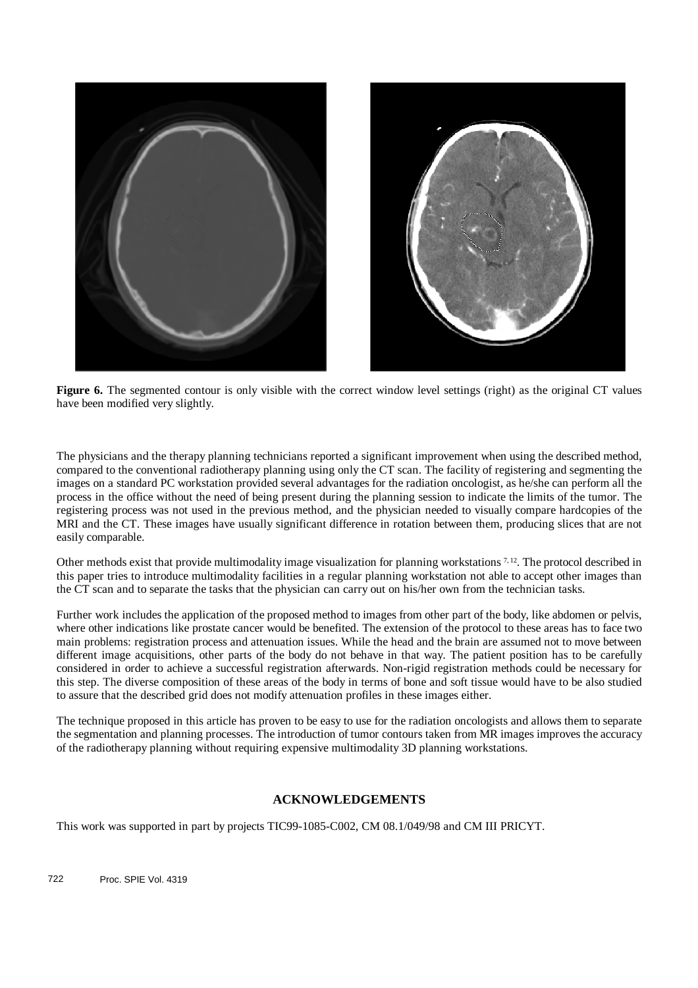

**Figure 6.** The segmented contour is only visible with the correct window level settings (right) as the original CT values have been modified very slightly.

The physicians and the therapy planning technicians reported a significant improvement when using the described method, compared to the conventional radiotherapy planning using only the CT scan. The facility of registering and segmenting the images on a standard PC workstation provided several advantages for the radiation oncologist, as he/she can perform all the process in the office without the need of being present during the planning session to indicate the limits of the tumor. The registering process was not used in the previous method, and the physician needed to visually compare hardcopies of the MRI and the CT. These images have usually significant difference in rotation between them, producing slices that are not easily comparable.

Other methods exist that provide multimodality image visualization for planning workstations 7,12. The protocol described in this paper tries to introduce multimodality facilities in a regular planning workstation not able to accept other images than the CT scan and to separate the tasks that the physician can carry out on his/her own from the technician tasks.

Further work includes the application of the proposed method to images from other part of the body, like abdomen or pelvis, where other indications like prostate cancer would be benefited. The extension of the protocol to these areas has to face two main problems: registration process and attenuation issues. While the head and the brain are assumed not to move between different image acquisitions, other parts of the body do not behave in that way. The patient position has to be carefully considered in order to achieve a successful registration afterwards. Non-rigid registration methods could be necessary for this step. The diverse composition of these areas of the body in terms of bone and soft tissue would have to be also studied to assure that the described grid does not modify attenuation profiles in these images either.

The technique proposed in this article has proven to be easy to use for the radiation oncologists and allows them to separate the segmentation and planning processes. The introduction of tumor contours taken from MR images improves the accuracy of the radiotherapy planning without requiring expensive multimodality 3D planning workstations.

## **ACKNOWLEDGEMENTS**

This work was supported in part by projects TIC99-1085-C002, CM 08.1/049/98 and CM III PRICYT.